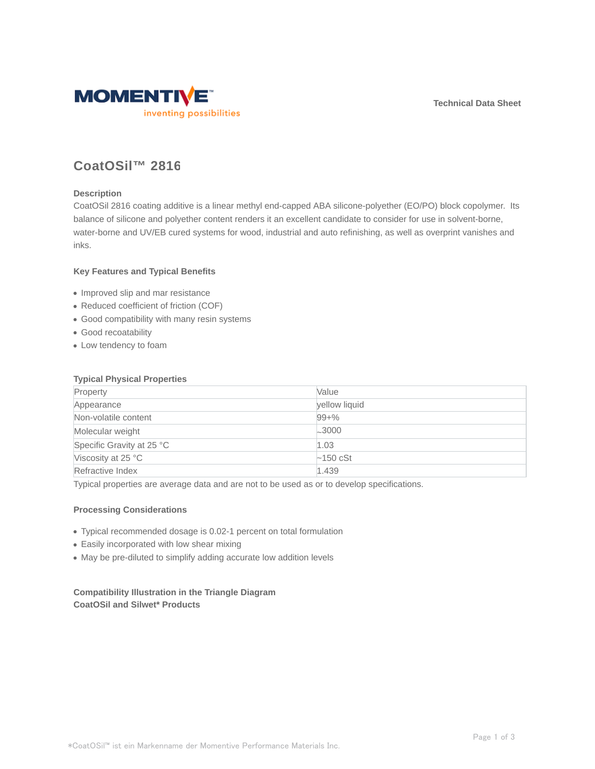**Technical Data Sheet**



# **CoatOSil™ 2816**

## **Description**

CoatOSil 2816 coating additive is a linear methyl end-capped ABA silicone-polyether (EO/PO) block copolymer. Its balance of silicone and polyether content renders it an excellent candidate to consider for use in solvent-borne, water-borne and UV/EB cured systems for wood, industrial and auto refinishing, as well as overprint vanishes and inks.

#### **Key Features and Typical Benefits**

- Improved slip and mar resistance
- Reduced coefficient of friction (COF)
- Good compatibility with many resin systems
- Good recoatability
- Low tendency to foam

#### **Typical Physical Properties**

| Property                  | Value          |
|---------------------------|----------------|
| Appearance                | yellow liquid  |
| Non-volatile content      | $99 + \%$      |
| Molecular weight          | $-3000$        |
| Specific Gravity at 25 °C | 1.03           |
| Viscosity at 25 °C        | $\sim$ 150 cSt |
| Refractive Index          | 1.439          |

Typical properties are average data and are not to be used as or to develop specifications.

#### **Processing Considerations**

- Typical recommended dosage is 0.02-1 percent on total formulation
- Easily incorporated with low shear mixing
- May be pre-diluted to simplify adding accurate low addition levels

# **Compatibility Illustration in the Triangle Diagram CoatOSil and Silwet\* Products**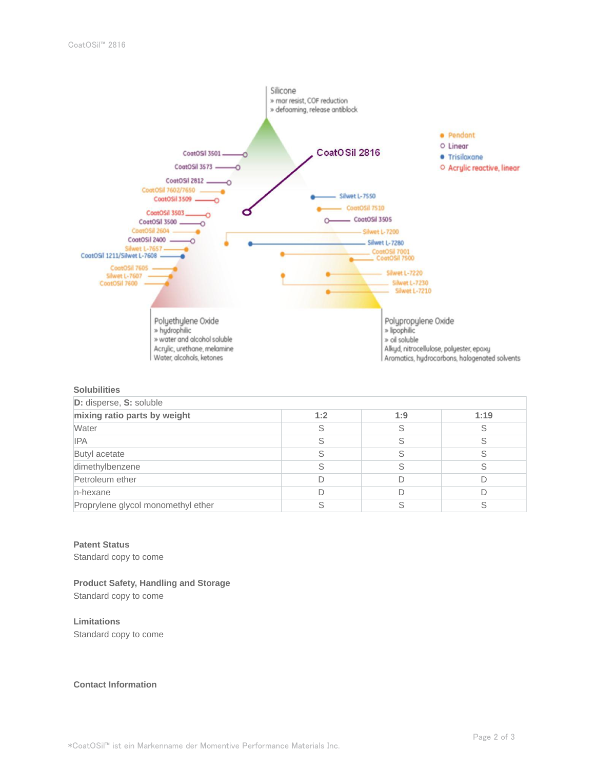

## **Solubilities**

| D: disperse, S: soluble            |     |     |      |  |
|------------------------------------|-----|-----|------|--|
| mixing ratio parts by weight       | 1:2 | 1:9 | 1:19 |  |
| Water                              |     |     |      |  |
| <b>IPA</b>                         |     |     |      |  |
| Butyl acetate                      |     |     |      |  |
| dimethylbenzene                    |     |     |      |  |
| Petroleum ether                    |     |     |      |  |
| n-hexane                           |     |     |      |  |
| Proprylene glycol monomethyl ether |     |     |      |  |

#### **Patent Status**

Standard copy to come

#### **Product Safety, Handling and Storage**

Standard copy to come

#### **Limitations**

Standard copy to come

#### **Contact Information**